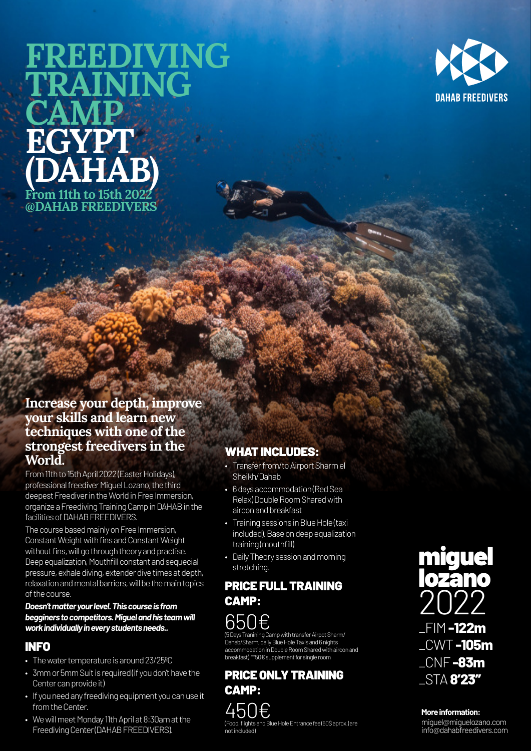# **FREEDIVING TRAINING CAMP EGYPT (DAHAB) From 11th to 15th 2022 @DAHAB FREEDIVERS**



### **Increase your depth, improve your skills and learn new techniques with one of the strongest freedivers in the World.**

From 11th to 15th April 2022 (Easter Holidays), professional freediver Miguel Lozano, the third deepest Freediver in the World in Free Immersion, organize a Freediving Training Camp in DAHAB in the facilities of DAHAB FREEDIVERS.

The course based mainly on Free Immersion, Constant Weight with fins and Constant Weight without fins, will go through theory and practise. Deep equalization, Mouthfill constant and sequecial pressure, exhale diving, extender dive times at depth, relaxation and mental barriers, will be the main topics of the course.

#### *Doesn't matter your level. This course is from begginers to competitors. Miguel and his team will work individually in every students needs..*

## INFO

- The water temperature is around 23/25ºC
- 3mm or 5mm Suit is required (if you don't have the Center can provide it)
- If you need any freediving equipment you can use it from the Center.
- We will meet Monday 11th April at 8:30am at the Freediving Center (DAHAB FREEDIVERS).

### WHAT INCLUDES:

- Transfer from/to Airport Sharm el Sheikh/Dahab
- 6 days accommodation (Red Sea Relax) Double Room Shared with aircon and breakfast
- Training sessions in Blue Hole (taxi included). Base on deep equalization training (mouthfill)
- Daily Theory session and morning stretching.

### PRICE FULL TRAINING CAMP:



(5 Days Tranining Camp with transfer Airpot Sharm/ Dahab/Sharm, daily Blue Hole Taxis and 6 nights accommodation in Double Room Shared with aircon and breakfast) \*\*50€ supplement for single room

PRICE ONLY TRAINING CAMP: 450€ (Food, flights and Blue Hole Entrance fee (50\$ aprox.) are not included)



#### **More information:**

miguel@miguelozano.com info@dahabfreedivers.com